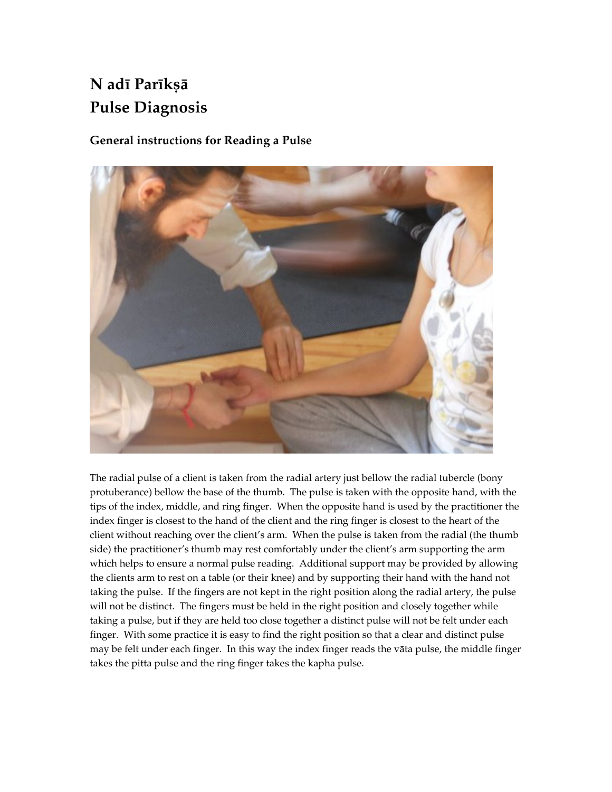# N adī Parīkṣā Pulse Diagnosis

### General instructions for Reading a Pulse



The radial pulse of a client is taken from the radial artery just bellow the radial tubercle (bony protuberance) bellow the base of the thumb. The pulse is taken with the opposite hand, with the tips of the index, middle, and ring finger. When the opposite hand is used by the practitioner the index finger is closest to the hand of the client and the ring finger is closest to the heart of the client without reaching over the client's arm. When the pulse is taken from the radial (the thumb side) the practitioner's thumb may rest comfortably under the client's arm supporting the arm which helps to ensure a normal pulse reading. Additional support may be provided by allowing the clients arm to rest on a table (or their knee) and by supporting their hand with the hand not taking the pulse. If the fingers are not kept in the right position along the radial artery, the pulse will not be distinct. The fingers must be held in the right position and closely together while taking a pulse, but if they are held too close together a distinct pulse will not be felt under each finger. With some practice it is easy to find the right position so that a clear and distinct pulse may be felt under each finger. In this way the index finger reads the väta pulse, the middle finger takes the pitta pulse and the ring finger takes the kapha pulse.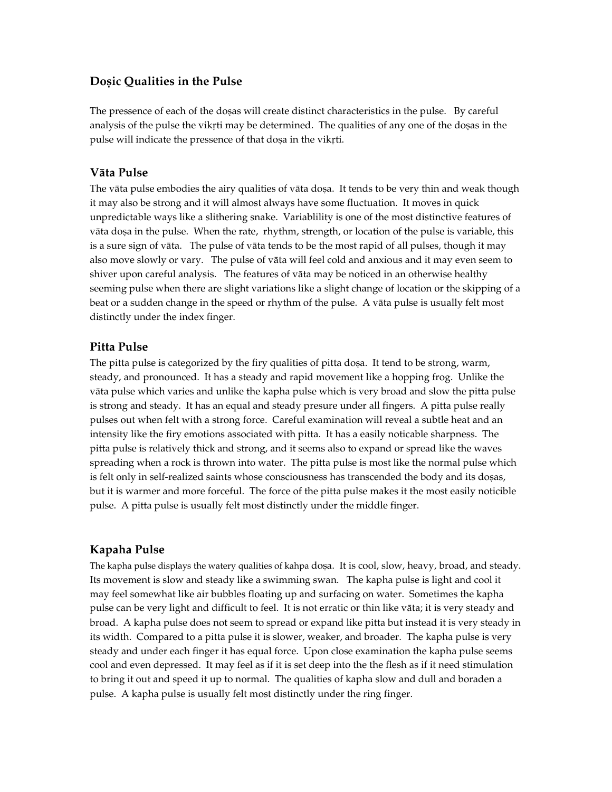#### Dosic Qualities in the Pulse

The pressence of each of the dosas will create distinct characteristics in the pulse. By careful analysis of the pulse the vikiti may be determined. The qualities of any one of the dosas in the pulse will indicate the pressence of that doșa in the vikrti.

#### Väta Pulse

The vāta pulse embodies the airy qualities of vāta doṣa. It tends to be very thin and weak though it may also be strong and it will almost always have some fluctuation. It moves in quick unpredictable ways like a slithering snake. Variablility is one of the most distinctive features of vāta doṣa in the pulse. When the rate, rhythm, strength, or location of the pulse is variable, this is a sure sign of väta. The pulse of väta tends to be the most rapid of all pulses, though it may also move slowly or vary. The pulse of väta will feel cold and anxious and it may even seem to shiver upon careful analysis. The features of väta may be noticed in an otherwise healthy seeming pulse when there are slight variations like a slight change of location or the skipping of a beat or a sudden change in the speed or rhythm of the pulse. A väta pulse is usually felt most distinctly under the index finger.

#### Pitta Pulse

The pitta pulse is categorized by the firy qualities of pitta dosa. It tend to be strong, warm, steady, and pronounced. It has a steady and rapid movement like a hopping frog. Unlike the väta pulse which varies and unlike the kapha pulse which is very broad and slow the pitta pulse is strong and steady. It has an equal and steady presure under all fingers. A pitta pulse really pulses out when felt with a strong force. Careful examination will reveal a subtle heat and an intensity like the firy emotions associated with pitta. It has a easily noticable sharpness. The pitta pulse is relatively thick and strong, and it seems also to expand or spread like the waves spreading when a rock is thrown into water. The pitta pulse is most like the normal pulse which is felt only in self-realized saints whose consciousness has transcended the body and its dosas, but it is warmer and more forceful. The force of the pitta pulse makes it the most easily noticible pulse. A pitta pulse is usually felt most distinctly under the middle finger.

#### Kapaha Pulse

The kapha pulse displays the watery qualities of kahpa dosa. It is cool, slow, heavy, broad, and steady. Its movement is slow and steady like a swimming swan. The kapha pulse is light and cool it may feel somewhat like air bubbles floating up and surfacing on water. Sometimes the kapha pulse can be very light and difficult to feel. It is not erratic or thin like väta; it is very steady and broad. A kapha pulse does not seem to spread or expand like pitta but instead it is very steady in its width. Compared to a pitta pulse it is slower, weaker, and broader. The kapha pulse is very steady and under each finger it has equal force. Upon close examination the kapha pulse seems cool and even depressed. It may feel as if it is set deep into the the flesh as if it need stimulation to bring it out and speed it up to normal. The qualities of kapha slow and dull and boraden a pulse. A kapha pulse is usually felt most distinctly under the ring finger.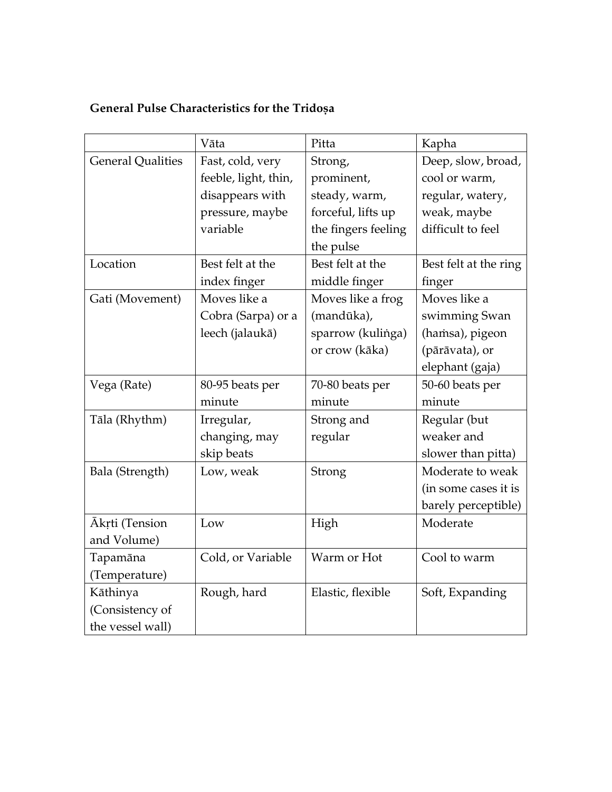## General Pulse Characteristics for the Tridoșa

|                          | Vāta                 | Pitta               | Kapha                 |
|--------------------------|----------------------|---------------------|-----------------------|
| <b>General Qualities</b> | Fast, cold, very     | Strong,             | Deep, slow, broad,    |
|                          | feeble, light, thin, | prominent,          | cool or warm,         |
|                          | disappears with      | steady, warm,       | regular, watery,      |
|                          | pressure, maybe      | forceful, lifts up  | weak, maybe           |
|                          | variable             | the fingers feeling | difficult to feel     |
|                          |                      | the pulse           |                       |
| Location                 | Best felt at the     | Best felt at the    | Best felt at the ring |
|                          | index finger         | middle finger       | finger                |
| Gati (Movement)          | Moves like a         | Moves like a frog   | Moves like a          |
|                          | Cobra (Sarpa) or a   | (mandūka),          | swimming Swan         |
|                          | leech (jalaukā)      | sparrow (kulinga)   | (hamsa), pigeon       |
|                          |                      | or crow (kāka)      | (pārāvata), or        |
|                          |                      |                     | elephant (gaja)       |
| Vega (Rate)              | 80-95 beats per      | 70-80 beats per     | 50-60 beats per       |
|                          | minute               | minute              | minute                |
| Tāla (Rhythm)            | Irregular,           | Strong and          | Regular (but          |
|                          | changing, may        | regular             | weaker and            |
|                          | skip beats           |                     | slower than pitta)    |
| Bala (Strength)          | Low, weak            | Strong              | Moderate to weak      |
|                          |                      |                     | (in some cases it is  |
|                          |                      |                     | barely perceptible)   |
| Ākŗti (Tension           | Low                  | High                | Moderate              |
| and Volume)              |                      |                     |                       |
| Tapamāna                 | Cold, or Variable    | Warm or Hot         | Cool to warm          |
| (Temperature)            |                      |                     |                       |
| Kāthinya                 | Rough, hard          | Elastic, flexible   | Soft, Expanding       |
| (Consistency of          |                      |                     |                       |
| the vessel wall)         |                      |                     |                       |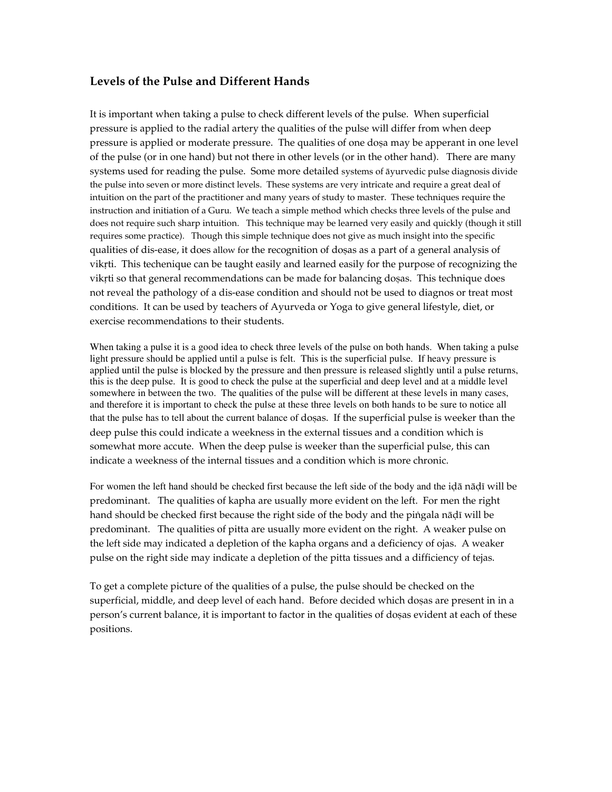#### Levels of the Pulse and Different Hands

It is important when taking a pulse to check different levels of the pulse. When superficial pressure is applied to the radial artery the qualities of the pulse will differ from when deep pressure is applied or moderate pressure. The qualities of one dosa may be apperant in one level of the pulse (or in one hand) but not there in other levels (or in the other hand). There are many systems used for reading the pulse. Some more detailed systems of äyurvedic pulse diagnosis divide the pulse into seven or more distinct levels. These systems are very intricate and require a great deal of intuition on the part of the practitioner and many years of study to master. These techniques require the instruction and initiation of a Guru. We teach a simple method which checks three levels of the pulse and does not require such sharp intuition. This technique may be learned very easily and quickly (though it still requires some practice). Though this simple technique does not give as much insight into the specific qualities of dis-ease, it does allow for the recognition of dosas as a part of a general analysis of vikrti. This techenique can be taught easily and learned easily for the purpose of recognizing the vikrti so that general recommendations can be made for balancing dosas. This technique does not reveal the pathology of a dis-ease condition and should not be used to diagnos or treat most conditions. It can be used by teachers of Ayurveda or Yoga to give general lifestyle, diet, or exercise recommendations to their students.

When taking a pulse it is a good idea to check three levels of the pulse on both hands. When taking a pulse light pressure should be applied until a pulse is felt. This is the superficial pulse. If heavy pressure is applied until the pulse is blocked by the pressure and then pressure is released slightly until a pulse returns, this is the deep pulse. It is good to check the pulse at the superficial and deep level and at a middle level somewhere in between the two. The qualities of the pulse will be different at these levels in many cases, and therefore it is important to check the pulse at these three levels on both hands to be sure to notice all that the pulse has to tell about the current balance of dosas. If the superficial pulse is weeker than the deep pulse this could indicate a weekness in the external tissues and a condition which is somewhat more accute. When the deep pulse is weeker than the superficial pulse, this can indicate a weekness of the internal tissues and a condition which is more chronic.

For women the left hand should be checked first because the left side of the body and the ida nadi will be predominant. The qualities of kapha are usually more evident on the left. For men the right hand should be checked first because the right side of the body and the pingala nādī will be predominant. The qualities of pitta are usually more evident on the right. A weaker pulse on the left side may indicated a depletion of the kapha organs and a deficiency of ojas. A weaker pulse on the right side may indicate a depletion of the pitta tissues and a difficiency of tejas.

To get a complete picture of the qualities of a pulse, the pulse should be checked on the superficial, middle, and deep level of each hand. Before decided which dosas are present in in a person's current balance, it is important to factor in the qualities of dosas evident at each of these positions.